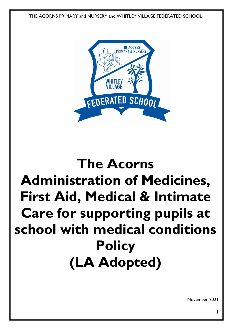THE ACORNS PRIMARY and NURSERY and WHITLEY VILLAGE FEDERATED SCHOOL



# **The Acorns Administration of Medicines, First Aid, Medical & Intimate Care for supporting pupils at school with medical conditions Policy (LA Adopted)**

November 2021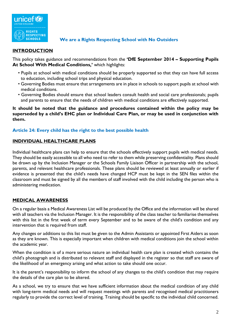

#### **We are a Rights Respecting School with No Outsiders**

#### **INTRODUCTION**

This policy takes guidance and recommendations from the **'DfE September 2014 – Supporting Pupils At School With Medical Conditions,'** which highlights:

- Pupils at school with medical conditions should be properly supported so that they can have full access to education, including school trips and physical education.
- Governing Bodies must ensure that arrangements are in place in schools to support pupils at school with medical conditions.
- Governing Bodies should ensure that school leaders consult health and social care professionals; pupils and parents to ensure that the needs of children with medical conditions are effectively supported.

**It should be noted that the guidance and procedures contained within the policy may be superseded by a child's EHC plan or Individual Care Plan, or may be used in conjunction with them.**

#### **Article 24: Every child has the right to the best possible health**

#### **INDIVIDUAL HEALTHCARE PLANS**

Individual healthcare plans can help to ensure that the schools effectively support pupils with medical needs. They should be easily accessible to all who need to refer to them while preserving confidentiality. Plans should be drawn up by the Inclusion Manager or the Schools Family Liaison Officer in partnership with the school, parents, and relevant healthcare professionals. These plans should be reviewed at least annually or earlier if evidence is presented that the child's needs have changed HCP must be kept in the SEN files within the classroom and must be signed by all the members of staff involved with the child including the person who is administering medication.

#### **MEDICAL AWARENESS**

On a regular basis a Medical Awareness List will be produced by the Office and the information will be shared with all teachers via the Inclusion Manager. It is the responsibility of the class teacher to familiarise themselves with this list in the first week of term every September and to be aware of the child's condition and any intervention that is required from staff.

Any changes or additions to this list must be given to the Admin Assistants or appointed First Aiders as soon as they are known. This is especially important when children with medical conditions join the school within the academic year.

When the condition is of a more serious nature an individual health care plan is created which contains the child's photograph and is distributed to relevant staff and displayed in the register so that staff are aware of the likelihood of an emergency arising and what action to take should one occur.

It is the parent's responsibility to inform the school of any changes to the child's condition that may require the details of the care plan to be altered.

As a school, we try to ensure that we have sufficient information about the medical condition of any child with long-term medical needs and will request meetings with parents and recognised medical practitioners regularly to provide the correct level of training. Training should be specific to the individual child concerned.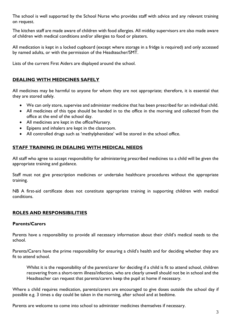The school is well supported by the School Nurse who provides staff with advice and any relevant training on request.

The kitchen staff are made aware of children with food allergies. All midday supervisors are also made aware of children with medical conditions and/or allergies to food or plasters.

All medication is kept in a locked cupboard (except where storage in a fridge is required) and only accessed by named adults, or with the permission of the Headteacher/SMT.

Lists of the current First Aiders are displayed around the school.

#### **DEALING WITH MEDICINES SAFELY**

All medicines may be harmful to anyone for whom they are not appropriate; therefore, it is essential that they are stored safely.

- We can only store, supervise and administer medicine that has been prescribed for an individual child.
- All medicines of this type should be handed in to the office in the morning and collected from the office at the end of the school day.
- All medicines are kept in the office/Nursery.
- Epipens and inhalers are kept in the classroom.
- All controlled drugs such as 'methylphenidate' will be stored in the school office.

#### **STAFF TRAINING IN DEALING WITH MEDICAL NEEDS**

All staff who agree to accept responsibility for administering prescribed medicines to a child will be given the appropriate training and guidance.

Staff must not give prescription medicines or undertake healthcare procedures without the appropriate training.

NB A first-aid certificate does not constitute appropriate training in supporting children with medical conditions.

#### **ROLES AND RESPONSIBILITIES**

#### **Parents/Carers**

Parents have a responsibility to provide all necessary information about their child's medical needs to the school.

Parents/Carers have the prime responsibility for ensuring a child's health and for deciding whether they are fit to attend school.

Whilst it is the responsibility of the parent/carer for deciding if a child is fit to attend school, children recovering from a short-term illness/infection, who are clearly unwell should not be in school and the Headteacher can request that parents/carers keep the pupil at home if necessary.

Where a child requires medication, parents/carers are encouraged to give doses outside the school day if possible e.g. 3 times a day could be taken in the morning, after school and at bedtime.

Parents are welcome to come into school to administer medicines themselves if necessary.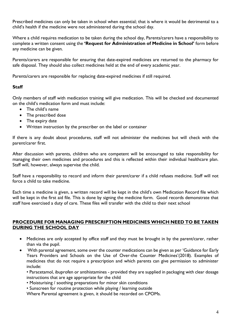Prescribed medicines can only be taken in school when essential; that is where it would be detrimental to a child's health if the medicine were not administered during the school day.

Where a child requires medication to be taken during the school day, Parents/carers have a responsibility to complete a written consent using the **'Request for Administration of Medicine in School'** form before any medicine can be given.

Parents/carers are responsible for ensuring that date-expired medicines are returned to the pharmacy for safe disposal. They should also collect medicines held at the end of every academic year.

Parents/carers are responsible for replacing date-expired medicines if still required.

#### **Staff**

Only members of staff with medication training will give medication. This will be checked and documented on the child's medication form and must include:

- The child's name
- The prescribed dose
- The expiry date
- Written instruction by the prescriber on the label or container

If there is any doubt about procedures, staff will not administer the medicines but will check with the parent/carer first.

After discussion with parents, children who are competent will be encouraged to take responsibility for managing their own medicines and procedures and this is reflected within their individual healthcare plan. Staff will, however, always supervise the child.

Staff have a responsibility to record and inform their parent/carer if a child refuses medicine. Staff will not force a child to take medicine.

Each time a medicine is given, a written record will be kept in the child's own Medication Record file which will be kept in the first aid file. This is done by signing the medicine form. Good records demonstrate that staff have exercised a duty of care. These files will transfer with the child to their next school

#### **PROCEDURE FOR MANAGING PRESCRIPTION MEDICINES WHICH NEED TO BE TAKEN DURING THE SCHOOL DAY**

- Medicines are only accepted by office staff and they must be brought in by the parent/carer, rather than via the pupil.
- With parental agreement, some over the counter medications can be given as per 'Guidance for Early Years Providers and Schools on the Use of Over-the Counter Medicines'(2018). Examples of medicines that do not require a prescription and which parents can give permission to administer include:

• Paracetamol, ibuprofen or antihistamines - provided they are supplied in packaging with clear dosage instructions that are age appropriate for the child

- Moisturising / soothing preparations for minor skin conditions
- Sunscreen for routine protection while playing / learning outside

Where Parental agreement is given, it should be recorded on CPOMs.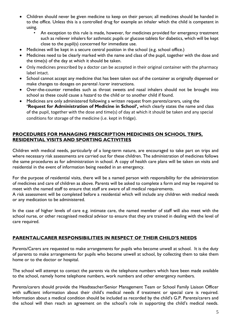- Children should never be given medicine to keep on their person; all medicines should be handed in to the office. Unless this is a controlled drug for example an inhaler which the child is competent in using.
	- An exception to this rule is made, however, for medicines provided for emergency treatment such as reliever inhalers for asthmatic pupils or glucose tablets for diabetics, which will be kept close to the pupil(s) concerned for immediate use.
- Medicines will be kept in a secure central position in the school (e.g. school office.)
- Medicines need to be clearly marked with the name and class of the pupil, together with the dose and the time(s) of the day at which it should be taken.
- Only medicines prescribed by a doctor can be accepted in their original container with the pharmacy label intact.
- School cannot accept any medicine that has been taken out of the container as originally dispensed or make changes to dosages on parental /carer instructions.
- Over-the-counter remedies such as throat sweets and nasal inhalers should not be brought into school as these could cause a hazard to the child or to another child if found.
- Medicines are only administered following a written request from parents/carers, using the **'Request for Administration of Medicine in School',** which clearly states the name and class of the pupil, together with the dose and time(s) of day at which it should be taken and any special conditions for storage of the medicine (i.e. kept in fridge).

#### **PROCEDURES FOR MANAGING PRESCRIPTION MEDICINES ON SCHOOL TRIPS, RESIDENTIAL VISITS AND SPORTING ACTIVITIES**

Children with medical needs, particularly of a long-term nature, are encouraged to take part on trips and where necessary risk assessments are carried out for these children. The administration of medicines follows the same procedures as for administration in school. A copy of health care plans will be taken on visits and residential in the event of information being needed in an emergency.

For the purpose of residential visits, there will be a named person with responsibility for the administration of medicines and care of children as above. Parents will be asked to complete a form and may be required to meet with the named staff to ensure that staff are aware of all medical requirements.

A risk assessment will be completed before a residential which will include any children with medical needs or any medication to be administered.

In the case of higher levels of care e.g. intimate care, the named member of staff will also meet with the school nurse, or other recognised medical advisor to ensure that they are trained in dealing with the level of care required.

#### **PARENTAL/CARER RESPONSIBILITIES IN RESPECT OF THEIR CHILD'S NEEDS**

Parents/Carers are requested to make arrangements for pupils who become unwell at school. It is the duty of parents to make arrangements for pupils who become unwell at school, by collecting them to take them home or to the doctor or hospital.

The school will attempt to contact the parents via the telephone numbers which have been made available to the school, namely home telephone numbers, work numbers and other emergency numbers.

Parents/carers should provide the Headteacher/Senior Management Team or School Family Liaison Officer with sufficient information about their child's medical needs if treatment or special care is required. Information about a medical condition should be included as recorded by the child's G.P. Parents/carers and the school will then reach an agreement on the school's role in supporting the child's medical needs.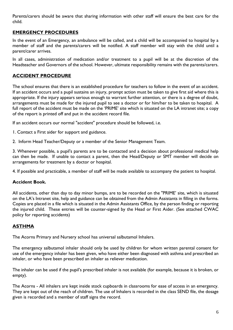Parents/carers should be aware that sharing information with other staff will ensure the best care for the child.

#### **EMERGENCY PROCEDURES**

In the event of an Emergency, an ambulance will be called, and a child will be accompanied to hospital by a member of staff and the parents/carers will be notified. A staff member will stay with the child until a parent/carer arrives.

In all cases, administration of medication and/or treatment to a pupil will be at the discretion of the Headteacher and Governors of the school. However, ultimate responsibility remains with the parents/carers.

#### **ACCIDENT PROCEDURE**

The school ensures that there is an established procedure for teachers to follow in the event of an accident. If an accident occurs and a pupil sustains an injury, prompt action must be taken to give first aid where this is appropriate. If the injury appears serious enough to warrant further attention, or there is a degree of doubt, arrangements must be made for the injured pupil to see a doctor or for him/her to be taken to hospital. A full report of the accident must be made on the 'PRIME' site which is situated on the LA intranet site; a copy of the report is printed off and put in the accident record file.

If an accident occurs our normal "accident" procedure should be followed, i.e.

- 1. Contact a First aider for support and guidance.
- 2. Inform Head Teacher/Deputy or a member of the Senior Management Team.

3. Whenever possible, a pupil's parents are to be contacted and a decision about professional medical help can then be made. If unable to contact a parent, then the Head/Deputy or SMT member will decide on arrangements for treatment by a doctor or hospital.

4. If possible and practicable, a member of staff will be made available to accompany the patient to hospital.

#### **Accident Book.**

All accidents, other than day to day minor bumps, are to be recorded on the "PRIME' site, which is situated on the LA's Intranet site, help and guidance can be obtained from the Admin Assistants in filling in the forms. Copies are placed in a file which is situated in the Admin Assistants Office, by the person finding or reporting the injured child. These entries will be counter-signed by the Head or First Aider. (See attached CWAC policy for reporting accidents)

#### **ASTHMA**

The Acorns Primary and Nursery school has universal salbutamol Inhalers.

The emergency salbutamol inhaler should only be used by children for whom written parental consent for use of the emergency inhaler has been given, who have either been diagnosed with asthma and prescribed an inhaler, or who have been prescribed an inhaler as reliever medication.

The inhaler can be used if the pupil's prescribed inhaler is not available (for example, because it is broken, or empty).

The Acorns - All inhalers are kept inside stock cupboards in classrooms for ease of access in an emergency. They are kept out of the reach of children. The use of Inhalers is recorded in the class SEND file, the dosage given is recorded and a member of staff signs the record.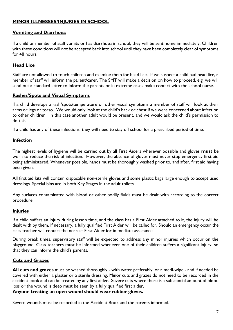#### **MINOR ILLNESSES/INJURIES IN SCHOOL**

#### **Vomiting and Diarrhoea**

If a child or member of staff vomits or has diarrhoea in school, they will be sent home immediately. Children with these conditions will not be accepted back into school until they have been completely clear of symptoms for 48 hours.

#### **Head Lice**

Staff are not allowed to touch children and examine them for head lice. If we suspect a child had head lice, a member of staff will inform the parent/carer. The SMT will make a decision on how to proceed, e.g. we will send out a standard letter to inform the parents or in extreme cases make contact with the school nurse.

#### **Rashes/Spots and Visual Symptoms**

If a child develops a rash/spots/temperature or other visual symptoms a member of staff will look at their arms or legs or torso. We would only look at the child's back or chest if we were concerned about infection to other children. In this case another adult would be present, and we would ask the child's permission to do this.

If a child has any of these infections, they will need to stay off school for a prescribed period of time.

#### **Infection**

The highest levels of hygiene will be carried out by all First Aiders wherever possible and gloves **must** be worn to reduce the risk of infection. However, the absence of gloves must never stop emergency first aid being administered. Whenever possible, hands must be thoroughly washed prior to, and after, first aid having been given.

All first aid kits will contain disposable non-sterile gloves and some plastic bags large enough to accept used dressings. Special bins are in both Key Stages in the adult toilets.

Any surfaces contaminated with blood or other bodily fluids must be dealt with according to the correct procedure.

#### **Injuries**

If a child suffers an injury during lesson time, and the class has a First Aider attached to it, the injury will be dealt with by them. If necessary, a fully qualified First Aider will be called for. Should an emergency occur the class teacher will contact the nearest First Aider for immediate assistance.

During break times, supervisory staff will be expected to address any minor injuries which occur on the playground. Class teachers must be informed whenever one of their children suffers a significant injury, so that they can inform the child's parents.

#### **Cuts and Grazes**

**All cuts and grazes** must be washed thoroughly - with water preferably, or a medi-wipe - and if needed be covered with either a plaster or a sterile dressing. Minor cuts and grazes do not need to be recorded in the accident book and can be treated by any first aider. Severe cuts where there is a substantial amount of blood loss or the wound is deep must be seen by a fully qualified first aider.

#### **Anyone treating an open wound should wear rubber gloves.**

Severe wounds must be recorded in the Accident Book and the parents informed.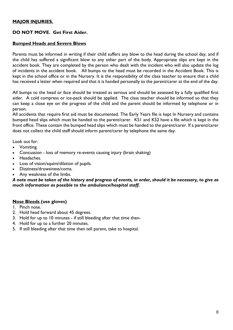#### **MAJOR INJURIES.**

#### **DO NOT MOVE. Get First Aider.**

#### **Bumped Heads and Severe Blows**

Parents must be informed in writing if their child suffers any blow to the head during the school day, and if the child has suffered a significant blow to any other part of the body. Appropriate slips are kept in the accident book. They are completed by the person who dealt with the incident who will also update the log of incidents in the accident book. All bumps to the head must be recorded in the Accident Book. This is kept in the school office or in the Nursery. It is the responsibility of the class teacher to ensure that a child has received a letter when required and that it is handed personally to the parent/carer at the end of the day.

All bumps to the head or face should be treated as serious and should be assessed by a fully qualified first aider. A cold compress or ice-pack should be applied. The class teacher should be informed so that they can keep a close eye on the progress of the child and the parent should be informed by telephone or in person.

All accidents that require first aid must be documented. The Early Years file is kept In Nursery and contains bumped head slips which must be handed to the parent/carer. KS1 and KS2 have a file which is kept in the front office. These contain the bumped head slips which must be handed to the parent/carer. If a parent/carer does not collect the child staff should inform parent/carer by telephone the same day.

Look out for:

- Vomiting.
- Concussion loss of memory re-events causing injury (brain shaking)
- Headaches.
- Loss of vision/squint/dilation of pupils.
- Dizziness/drowsiness/coma.
- Any weakness of the limbs.

#### *A note must be taken of the history and progress of events, in order, should it be necessary, to give as much information as possible to the ambulance/hospital staff.*

#### **Nose Bleeds (use gloves)**

- 1. Pinch nose.
- 2. Hold head forward about 45 degrees.
- 3. Hold for up to 10 minutes if still bleeding after that time then-
- 4. Hold for up to a further 20 minutes.
- 5. If still bleeding after that time then tell parent, take to hospital.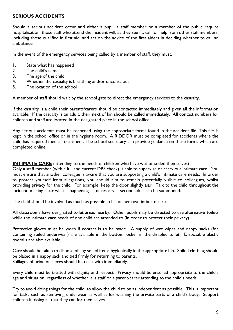#### **SERIOUS ACCIDENTS**

Should a serious accident occur and either a pupil, a staff member or a member of the public require hospitalisation, those staff who attend the incident will, as they see fit, call for help from other staff members, including those qualified in first aid, and act on the advice of the first aiders in deciding whether to call an ambulance.

In the event of the emergency services being called by a member of staff, they must,

- 1. State what has happened
- 2. The child's name
- 3. The age of the child
- 4. Whether the casualty is breathing and/or unconscious
- 5. The location of the school

A member of staff should wait by the school gate to direct the emergency services to the casualty.

If the casualty is a child their parents/carers should be contacted immediately and given all the information available. If the casualty is an adult, their next of kin should be called immediately. All contact numbers for children and staff are located in the designated place in the school office.

Any serious accidents must be recorded using the appropriate forms found in the accident file. This file is kept in the school office or in the hygiene room. A RIDDOR must be completed for accidents where the child has required medical treatment. The school secretary can provide guidance on these forms which are completed online.

**INTIMATE CARE** (attending to the needs of children who have wet or soiled themselves)

Only a staff member (with a full and current DBS check) is able to supervise or carry out intimate care. You must ensure that another colleague is aware that you are supporting a child's intimate care needs. In order to protect yourself from allegations, you should aim to remain potentially visible to colleagues, whilst providing privacy for the child. For example, keep the door slightly ajar. Talk to the child throughout the incident, making clear what is happening. If necessary, a second adult can be summoned.

The child should be involved as much as possible in his or her own intimate care.

All classrooms have designated toilet areas nearby. Other pupils may be directed to use alternative toilets while the intimate care needs of one child are attended to (in order to protect their privacy).

Protective gloves must be worn if contact is to be made. A supply of wet wipes and nappy sacks (for containing soiled underwear) are available in the bottom locker in the disabled toilet. Disposable plastic overalls are also available.

Care should be taken to dispose of any soiled items hygienically in the appropriate bin. Soiled clothing should be placed in a nappy sack and tied firmly for returning to parents. Spillages of urine or faeces should be dealt with immediately.

Every child must be treated with dignity and respect. Privacy should be ensured appropriate to the child's age and situation, regardless of whether it is staff or a parent/carer attending to the child's needs.

Try to avoid doing things for the child, to allow the child to be as independent as possible. This is important for tasks such as removing underwear as well as for washing the private parts of a child's body. Support children in doing all that they can for themselves.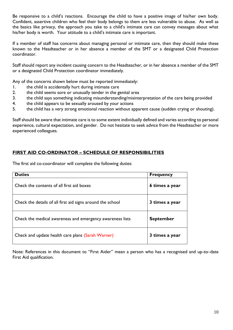Be responsive to a child's reactions. Encourage the child to have a positive image of his/her own body. Confident, assertive children who feel their body belongs to them are less vulnerable to abuse. As well as the basics like privacy, the approach you take to a child's intimate care can convey messages about what his/her body is worth. Your attitude to a child's intimate care is important.

If a member of staff has concerns about managing personal or intimate care, then they should make these known to the Headteacher or in her absence a member of the SMT or a designated Child Protection coordinator.

Staff should report any incident causing concern to the Headteacher, or in her absence a member of the SMT or a designated Child Protection coordinator immediately.

Any of the concerns shown below must be reported immediately:

- 1. the child is accidentally hurt during intimate care
- 2. the child seems sore or unusually tender in the genital area
- 3. the child says something indicating misunderstanding/misinterpretation of the care being provided
- 4. the child appears to be sexually aroused by your actions
- 5. the child has a very strong emotional reaction without apparent cause (sudden crying or shouting).

Staff should be aware that intimate care is to some extent individually defined and varies according to personal experience, cultural expectation, and gender. Do not hesitate to seek advice from the Headteacher or more experienced colleagues.

#### **FIRST AID CO-ORDINATOR – SCHEDULE OF RESPONSIBILITIES**

The first aid co-coordinator will complete the following duties:

| <b>Duties</b>                                              | <b>Frequency</b> |
|------------------------------------------------------------|------------------|
| Check the contents of all first aid boxes                  | 6 times a year   |
| Check the details of all first aid signs around the school | 3 times a year   |
| Check the medical awareness and emergency awareness lists  | <b>September</b> |
| Check and update health care plans (Sarah Warner)          | 3 times a year   |

Note: References in this document to "First Aider" mean a person who has a recognised and up-to–date First Aid qualification.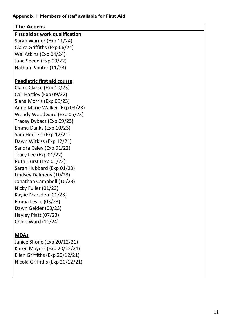| <b>The Acorns</b>                  |
|------------------------------------|
| First aid at work qualification    |
| Sarah Warner (Exp 11/24)           |
| Claire Griffiths (Exp 06/24)       |
| Wal Atkins (Exp 04/24)             |
| Jane Speed (Exp 09/22)             |
| Nathan Painter (11/23)             |
|                                    |
| <b>Paediatric first aid course</b> |
| Claire Clarke (Exp 10/23)          |
| Cali Hartley (Exp 09/22)           |
| Siana Morris (Exp 09/23)           |
| Anne Marie Walker (Exp 03/23)      |
| Wendy Woodward (Exp 05/23)         |
| Tracey Dybacz (Exp 09/23)          |
| Emma Danks (Exp 10/23)             |
| Sam Herbert (Exp 12/21)            |
| Dawn Witkiss (Exp 12/21)           |
| Sandra Caley (Exp 01/22)           |
| Tracy Lee (Exp $01/22$ )           |
| Ruth Hurst (Exp 01/22)             |
| Sarah Hubbard (Exp 01/23)          |
| Lindsey Dalmeny (10/23)            |
| Jonathan Campbell (10/23)          |
| Nicky Fuller (01/23)               |
| Kaylie Marsden (01/23)             |
| Emma Leslie (03/23)                |
| Dawn Gelder (03/23)                |
| Hayley Platt (07/23)               |
| <b>Chloe Ward (11/24)</b>          |
|                                    |
| <b>MDAs</b>                        |

Janice Shone (Exp 20/12/21 ) Karen Mayers (Exp 20/12/21 ) Ellen Griffiths (Exp 20/12/21 ) Nicola Griffiths (Exp 20/12/21 )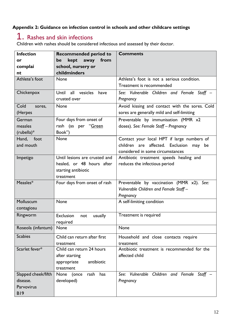### **Appendix 2: Guidance on infection control in schools and other childcare settings**

### 1. Rashes and skin infections

Children with rashes should be considered infectious and assessed by their doctor.

| <b>Infection</b>    | <b>Recommended period to</b>                     | <b>Comments</b>                                          |
|---------------------|--------------------------------------------------|----------------------------------------------------------|
| or                  | kept<br>away<br>from<br>be                       |                                                          |
| complai             | school, nursery or                               |                                                          |
| nt                  | childminders                                     |                                                          |
| Athlete's foot      | None                                             | Athlete's foot is not a serious condition.               |
|                     |                                                  | Treatment is recommended                                 |
| Chickenpox          | Until<br>all<br>vesicles<br>have<br>crusted over | See: Vulnerable Children and Female Staff -<br>Pregnancy |
| Cold<br>sores,      | None                                             | Avoid kissing and contact with the sores. Cold           |
| (Herpes             |                                                  | sores are generally mild and self-limiting               |
| German              | Four days from onset of                          | Preventable by immunisation (MMR x2                      |
| measles             | rash (as per "Green                              | doses). See: Female Staff - Pregnancy                    |
| $(rubella)*$        | Book")                                           |                                                          |
| Hand, foot          | <b>None</b>                                      | Contact your local HPT if large numbers of               |
| and mouth           |                                                  | children are affected. Exclusion<br>may be               |
|                     |                                                  | considered in some circumstances                         |
| Impetigo            | Until lesions are crusted and                    | Antibiotic treatment speeds healing and                  |
|                     | healed, or 48 hours after                        | reduces the infectious period                            |
|                     | starting antibiotic                              |                                                          |
|                     | treatment                                        |                                                          |
| Measles*            | Four days from onset of rash                     | Preventable by vaccination (MMR x2). See:                |
|                     |                                                  | Vulnerable Children and Female Staff-                    |
|                     |                                                  | Pregnancy                                                |
| Molluscum           | None                                             | A self-limiting condition                                |
| contagiosu          |                                                  |                                                          |
| Ringworm            | Exclusion<br>usually<br>not                      | Treatment is required                                    |
|                     | required                                         |                                                          |
| Roseola (infantum)  | None                                             | None                                                     |
| <b>Scabies</b>      |                                                  |                                                          |
|                     | Child can return after first                     | Household and close contacts require                     |
| Scarlet fever*      | treatment                                        | treatment                                                |
|                     | Child can return 24 hours                        | Antibiotic treatment is recommended for the              |
|                     | after starting                                   | affected child                                           |
|                     | antibiotic<br>appropriate                        |                                                          |
|                     | treatment                                        |                                                          |
| Slapped cheek/fifth | None<br>has<br>(once<br>rash                     | See: Vulnerable Children and Female<br>Staff             |
| disease.            | developed)                                       | Pregnancy                                                |
| Parvovirus          |                                                  |                                                          |
| <b>B19</b>          |                                                  |                                                          |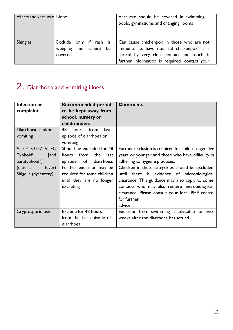| Warts and verrucae None |                                                                | Verrucae should be covered in swimming<br>pools, gymnasiums and changing rooms                                                                                                          |
|-------------------------|----------------------------------------------------------------|-----------------------------------------------------------------------------------------------------------------------------------------------------------------------------------------|
| <b>Shingles</b>         | Exclude only if rash is<br>and cannot be<br>weeping<br>covered | Can cause chickenpox in those who are not<br>immune, i.e. have not had chickenpox. It is<br>spread by very close contact and touch. If<br>further information is required, contact your |

# 2. Diarrhoea and vomiting illness

| Infection or         | <b>Recommended period</b>    | <b>Comments</b>                                      |
|----------------------|------------------------------|------------------------------------------------------|
| complaint            | to be kept away from         |                                                      |
|                      | school, nursery or           |                                                      |
|                      | childminders                 |                                                      |
| Diarrhoea and/or     | 48<br>from<br>hours<br>last  |                                                      |
| vomiting             | episode of diarrhoea or      |                                                      |
|                      | vomiting                     |                                                      |
| E. coli O157 VTEC    | Should be excluded for 48    | Further exclusion is required for children aged five |
| Typhoid*<br>[and     | from<br>hours<br>the<br>last | years or younger and those who have difficulty in    |
| paratyphoid*]        | episode of<br>diarrhoea.     | adhering to hygiene practices.                       |
| (enteric<br>fever)   | Further exclusion may be     | Children in these categories should be excluded      |
| Shigella (dysentery) | required for some children   | until there is evidence of microbiological           |
|                      | until they are no longer     | clearance. This guidance may also apply to some      |
|                      | excreting                    | contacts who may also require microbiological        |
|                      |                              | clearance. Please consult your local PHE centre      |
|                      |                              | for further                                          |
|                      |                              | advice                                               |
| Cryptosporidiosis    | Exclude for 48 hours         | Exclusion from swimming is advisable for two         |
|                      | from the last episode of     | weeks after the diarrhoea has settled                |
|                      | diarrhoea                    |                                                      |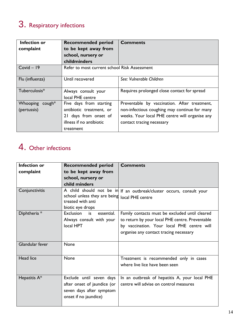# 3. Respiratory infections

| <b>Infection or</b><br>complaint | <b>Recommended period</b><br>to be kept away from | <b>Comments</b>                                |
|----------------------------------|---------------------------------------------------|------------------------------------------------|
|                                  | school, nursery or                                |                                                |
|                                  | childminders                                      |                                                |
| $Covid - 19$                     | Refer to most current school Risk Assessment      |                                                |
| Flu (influenza)                  | Until recovered                                   | See: Vulnerable Children                       |
| Tuberculosis*                    | Always consult your<br>local PHE centre           | Requires prolonged close contact for spread    |
| Whooping cough*                  | Five days from starting                           | Preventable by vaccination. After treatment,   |
| (pertussis)                      | antibiotic treatment, or                          | non-infectious coughing may continue for many  |
|                                  | 21 days from onset of                             | weeks. Your local PHE centre will organise any |
|                                  | illness if no antibiotic                          | contact tracing necessary                      |
|                                  | treatment                                         |                                                |

# 4. Other infections

| <b>Infection or</b> | <b>Recommended period</b>                                                                                    | <b>Comments</b>                                                                                                                                                                           |
|---------------------|--------------------------------------------------------------------------------------------------------------|-------------------------------------------------------------------------------------------------------------------------------------------------------------------------------------------|
| complaint           | to be kept away from                                                                                         |                                                                                                                                                                                           |
|                     | school, nursery or                                                                                           |                                                                                                                                                                                           |
|                     | child minders                                                                                                |                                                                                                                                                                                           |
| Conjunctivitis      | school unless they are being<br>treated with anti<br>biotic eye drops                                        | A child should not be in If an outbreak/cluster occurs, consult your<br>local PHE centre                                                                                                  |
| Diphtheria *        | <b>Exclusion</b><br>is<br>essential.<br>Always consult with your<br>local HPT                                | Family contacts must be excluded until cleared<br>to return by your local PHE centre. Preventable<br>by vaccination. Your local PHE centre will<br>organise any contact tracing necessary |
| Glandular fever     | <b>None</b>                                                                                                  |                                                                                                                                                                                           |
| Head lice           | <b>None</b>                                                                                                  | Treatment is recommended only in cases<br>where live lice have been seen                                                                                                                  |
| Hepatitis A*        | Exclude until seven days<br>after onset of jaundice (or<br>seven days after symptom<br>onset if no jaundice) | In an outbreak of hepatitis A, your local PHE<br>centre will advise on control measures                                                                                                   |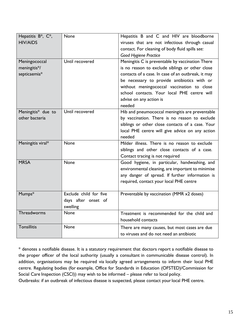| Hepatitis B*, C*,<br><b>HIV/AIDS</b>          | None                                                      | Hepatitis B and C and HIV are bloodborne<br>viruses that are not infectious through casual<br>contact. For cleaning of body fluid spills see:<br>Good Hygiene Practice                                                                                                                                                                     |
|-----------------------------------------------|-----------------------------------------------------------|--------------------------------------------------------------------------------------------------------------------------------------------------------------------------------------------------------------------------------------------------------------------------------------------------------------------------------------------|
| Meningococcal<br>meningitis*/<br>septicaemia* | Until recovered                                           | Meningitis C is preventable by vaccination There<br>is no reason to exclude siblings or other close<br>contacts of a case. In case of an outbreak, it may<br>be necessary to provide antibiotics with or<br>without meningococcal vaccination to close<br>school contacts. Your local PHE centre will<br>advise on any action is<br>needed |
| Meningitis* due to<br>other bacteria          | Until recovered                                           | Hib and pneumococcal meningitis are preventable<br>by vaccination. There is no reason to exclude<br>siblings or other close contacts of a case. Your<br>local PHE centre will give advice on any action<br>needed                                                                                                                          |
| Meningitis viral*                             | None                                                      | Milder illness. There is no reason to exclude<br>siblings and other close contacts of a case.<br>Contact tracing is not required                                                                                                                                                                                                           |
| <b>MRSA</b>                                   | None                                                      | Good hygiene, in particular, handwashing, and<br>environmental cleaning, are important to minimise<br>any danger of spread. If further information is<br>required, contact your local PHE centre                                                                                                                                           |
| Mumps*                                        | Exclude child for five<br>days after onset of<br>swelling | Preventable by vaccination (MMR x2 doses)                                                                                                                                                                                                                                                                                                  |
| Threadworms                                   | None                                                      | Treatment is recommended for the child and<br>household contacts                                                                                                                                                                                                                                                                           |
| <b>Tonsillitis</b>                            | None                                                      | There are many causes, but most cases are due<br>to viruses and do not need an antibiotic                                                                                                                                                                                                                                                  |

\* denotes a notifiable disease. It is a statutory requirement that doctors report a notifiable disease to the proper officer of the local authority (usually a consultant in communicable disease control). In addition, organisations may be required via locally agreed arrangements to inform their local PHE centre. Regulating bodies (for example, Office for Standards in Education (OFSTED)/Commission for Social Care Inspection (CSCI)) may wish to be informed – please refer to local policy.

Outbreaks: if an outbreak of infectious disease is suspected, please contact your local PHE centre.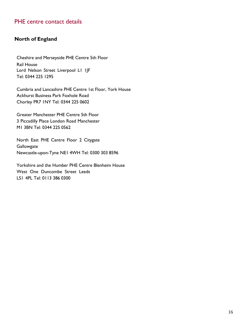### PHE centre contact details

#### **North of England**

Cheshire and Merseyside PHE Centre 5th Floor Rail House Lord Nelson Street Liverpool L1 1JF Tel: 0344 225 1295

Cumbria and Lancashire PHE Centre 1st Floor, York House Ackhurst Business Park Foxhole Road Chorley PR7 1NY Tel: 0344 225 0602

Greater Manchester PHE Centre 5th Floor 3 Piccadilly Place London Road Manchester M1 3BN Tel: 0344 225 0562

North East PHE Centre Floor 2 Citygate **Gallowgate** Newcastle-upon-Tyne NE1 4WH Tel: 0300 303 8596

Yorkshire and the Humber PHE Centre Blenheim House West One Duncombe Street Leeds LS1 4PL Tel: 0113 386 0300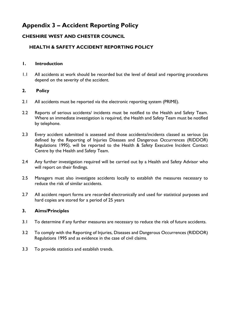### **Appendix 3 – Accident Reporting Policy**

#### **CHESHIRE WEST AND CHESTER COUNCIL**

#### **HEALTH & SAFETY ACCIDENT REPORTING POLICY**

#### **1. Introduction**

1.1 All accidents at work should be recorded but the level of detail and reporting procedures depend on the severity of the accident.

#### **2. Policy**

- 2.1 All accidents must be reported via the electronic reporting system (PRIME).
- 2.2 Reports of serious accidents/ incidents must be notified to the Health and Safety Team. Where an immediate investigation is required, the Health and Safety Team must be notified by telephone.
- 2.3 Every accident submitted is assessed and those accidents/incidents classed as serious (as defined by the Reporting of Injuries Diseases and Dangerous Occurrences (RIDDOR) Regulations 1995), will be reported to the Health & Safety Executive Incident Contact Centre by the Health and Safety Team.
- 2.4 Any further investigation required will be carried out by a Health and Safety Advisor who will report on their findings.
- 2.5 Managers must also investigate accidents locally to establish the measures necessary to reduce the risk of similar accidents.
- 2.7 All accident report forms are recorded electronically and used for statistical purposes and hard copies are stored for a period of 25 years

#### **3. Aims/Principles**

- 3.1 To determine if any further measures are necessary to reduce the risk of future accidents.
- 3.2 To comply with the Reporting of Injuries, Diseases and Dangerous Occurrences (RIDDOR) Regulations 1995 and as evidence in the case of civil claims.
- 3.3 To provide statistics and establish trends.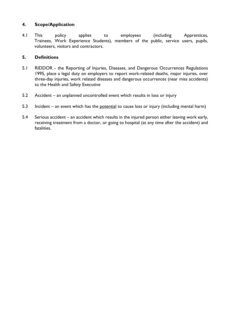#### **4. Scope/Application**

4.1 This policy applies to employees (including Apprentices, Trainees, Work Experience Students), members of the public, service users, pupils, volunteers, visitors and contractors.

#### **5. Definitions**

- 5.1 RIDDOR the Reporting of Injuries, Diseases, and Dangerous Occurrences Regulations 1995, place a legal duty on employers to report work-related deaths, major injuries, over three-day injuries, work related diseases and dangerous occurrences (near miss accidents) to the Health and Safety Executive
- 5.2 Accident an unplanned uncontrolled event which results in loss or injury
- 5.3 Incident an event which has the <u>potential</u> to cause loss or injury (including mental harm)
- 5.4 Serious accident an accident which results in the injured person either leaving work early, receiving treatment from a doctor, or going to hospital (at any time after the accident) and fatalities.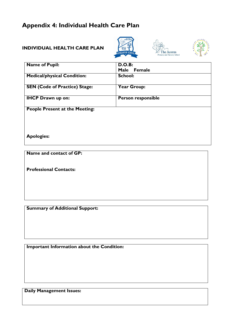### **Appendix 4: Individual Health Care Plan**

#### **INDIVIDUAL HEALTH CARE PLAN**







| <b>Name of Pupil:</b>                 | <b>D.O.B:</b>             |
|---------------------------------------|---------------------------|
|                                       | Male Female               |
| <b>Medical/physical Condition:</b>    | <b>School:</b>            |
| <b>SEN (Code of Practice) Stage:</b>  | <b>Year Group:</b>        |
| <b>IHCP Drawn up on:</b>              | <b>Person responsible</b> |
| <b>People Present at the Meeting:</b> |                           |
|                                       |                           |
| <b>Apologies:</b>                     |                           |

**Name and contact of GP:**

**Professional Contacts:**

**Summary of Additional Support:**

**Important Information about the Condition:**

**Daily Management Issues:**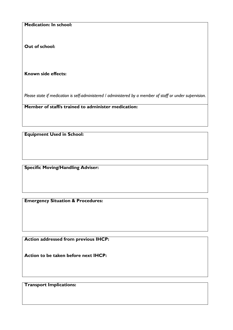**Medication: In school:**

**Out of school:**

**Known side effects:**

*Please state if medication is self-administered / administered by a member of staff or under supervision.*

**Member of staff/s trained to administer medication:**

**Equipment Used in School:**

**Specific Moving/Handling Adviser:**

**Emergency Situation & Procedures:**

**Action addressed from previous IHCP:**

**Action to be taken before next IHCP:**

**Transport Implications:**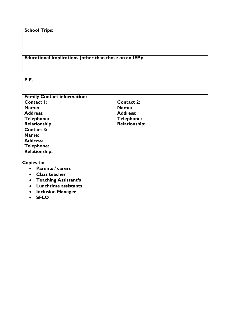#### **School Trips:**

#### **Educational Implications (other than those on an IEP):**

**P.E.**

| <b>Family Contact information:</b> |                      |
|------------------------------------|----------------------|
| Contact I:                         | <b>Contact 2:</b>    |
| Name:                              | Name:                |
| <b>Address:</b>                    | <b>Address:</b>      |
| <b>Telephone:</b>                  | <b>Telephone:</b>    |
| Relationship                       | <b>Relationship:</b> |
| <b>Contact 3:</b>                  |                      |
| Name:                              |                      |
| <b>Address:</b>                    |                      |
| <b>Telephone:</b>                  |                      |
| <b>Relationship:</b>               |                      |

**Copies to:**

- **Parents / carers**
- **Class teacher**
- **Teaching Assistant/s**
- **Lunchtime assistants**
- **Inclusion Manager**
- **SFLO**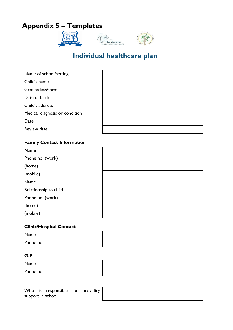### **Appendix 5 – Templates**



### **Individual healthcare plan**

| Name of school/setting         |  |
|--------------------------------|--|
| Child's name                   |  |
| Group/class/form               |  |
| Date of birth                  |  |
| Child's address                |  |
| Medical diagnosis or condition |  |
| Date                           |  |
| Review date                    |  |
|                                |  |

#### **Family Contact Information**

| Name                  |  |
|-----------------------|--|
| Phone no. (work)      |  |
| (home)                |  |
| (mobile)              |  |
| Name                  |  |
| Relationship to child |  |
| Phone no. (work)      |  |
| (home)                |  |
| (mobile)              |  |
|                       |  |

#### **Clinic/Hospital Contact**

| Name      |  |
|-----------|--|
| Phone no. |  |

#### **G.P.**

Name Phone no.

Who is responsible for provid support in school

| ding |  |  |
|------|--|--|
|      |  |  |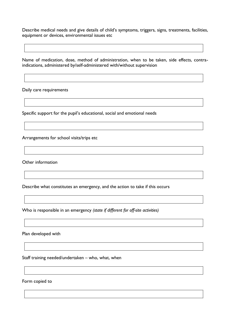Describe medical needs and give details of child's symptoms, triggers, signs, treatments, facilities, equipment or devices, environmental issues etc

Name of medication, dose, method of administration, when to be taken, side effects, contraindications, administered by/self-administered with/without supervision

Daily care requirements

Specific support for the pupil's educational, social and emotional needs

Arrangements for school visits/trips etc

Other information

Describe what constitutes an emergency, and the action to take if this occurs

Who is responsible in an emergency *(state if different for off-site activities)*

Plan developed with

Staff training needed/undertaken – who, what, when

Form copied to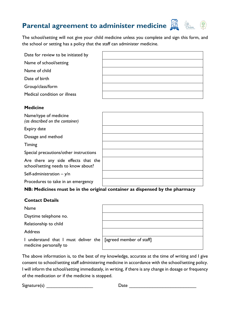## **Parental agreement to administer medicine**  $\mathbb{Z}$  **&**  $\mathbb{Z}$

The school/setting will not give your child medicine unless you complete and sign this form, and the school or setting has a policy that the staff can administer medicine.

| Date for review to be initiated by |  |
|------------------------------------|--|
| Name of school/setting             |  |
| Name of child                      |  |
| Date of birth                      |  |
| Group/class/form                   |  |
| Medical condition or illness       |  |

#### **Medicine**

| Name/type of medicine<br>(as described on the container)                   |  |
|----------------------------------------------------------------------------|--|
| Expiry date                                                                |  |
| Dosage and method                                                          |  |
| <b>Timing</b>                                                              |  |
| Special precautions/other instructions                                     |  |
| Are there any side effects that the<br>school/setting needs to know about? |  |
| Self-administration $-$ y/n                                                |  |
| Procedures to take in an emergency                                         |  |

#### **NB: Medicines must be in the original container as dispensed by the pharmacy**

#### **Contact Details**

Name

Daytime telephone no.

Relationship to child

Address

I understand that I must deliver the medicine personally to

[agreed member of staff]

The above information is, to the best of my knowledge, accurate at the time of writing and I give consent to school/setting staff administering medicine in accordance with the school/setting policy. I will inform the school/setting immediately, in writing, if there is any change in dosage or frequency of the medication or if the medicine is stopped.

Signature(s) \_\_\_\_\_\_\_\_\_\_\_\_\_\_\_\_\_\_ Date \_\_\_\_\_\_\_\_\_\_\_\_\_\_\_\_\_\_\_\_\_\_\_\_\_\_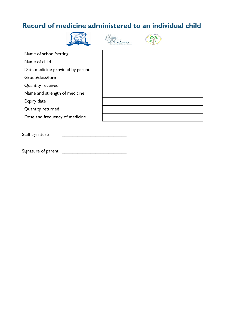### **Record of medicine administered to an individual child**







| Name of school/setting           |  |
|----------------------------------|--|
| Name of child                    |  |
| Date medicine provided by parent |  |
| Group/class/form                 |  |
| Quantity received                |  |
| Name and strength of medicine    |  |
| Expiry date                      |  |
| Quantity returned                |  |
| Dose and frequency of medicine   |  |
|                                  |  |

Staff signature

Signature of parent \_\_\_\_\_\_\_\_\_\_\_\_\_\_\_\_\_\_\_\_\_\_\_\_\_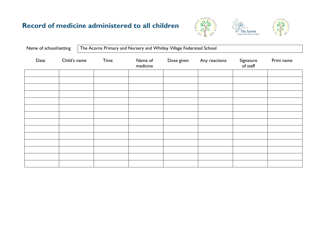### **Record of medicine administered to all children**





The Acorns Primary and Nursery School

| Name of school/setting |              |  |      | The Acorns Primary and Nursery and Whitley Village Federated School |            |               |                       |            |
|------------------------|--------------|--|------|---------------------------------------------------------------------|------------|---------------|-----------------------|------------|
| Date                   | Child's name |  | Time | Name of<br>medicine                                                 | Dose given | Any reactions | Signature<br>of staff | Print name |
|                        |              |  |      |                                                                     |            |               |                       |            |
|                        |              |  |      |                                                                     |            |               |                       |            |
|                        |              |  |      |                                                                     |            |               |                       |            |
|                        |              |  |      |                                                                     |            |               |                       |            |
|                        |              |  |      |                                                                     |            |               |                       |            |
|                        |              |  |      |                                                                     |            |               |                       |            |
|                        |              |  |      |                                                                     |            |               |                       |            |
|                        |              |  |      |                                                                     |            |               |                       |            |
|                        |              |  |      |                                                                     |            |               |                       |            |
|                        |              |  |      |                                                                     |            |               |                       |            |
|                        |              |  |      |                                                                     |            |               |                       |            |
|                        |              |  |      |                                                                     |            |               |                       |            |
|                        |              |  |      |                                                                     |            |               |                       |            |
|                        |              |  |      |                                                                     |            |               |                       |            |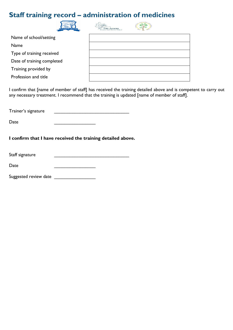### **Staff training record – administration of medicines**

| <b>RATED SCHOOL</b>        | and Nursery School |  |
|----------------------------|--------------------|--|
| Name of school/setting     |                    |  |
| Name                       |                    |  |
| Type of training received  |                    |  |
| Date of training completed |                    |  |
| Training provided by       |                    |  |
| Profession and title       |                    |  |
|                            |                    |  |

I confirm that [name of member of staff] has received the training detailed above and is competent to carry out any necessary treatment. I recommend that the training is updated [name of member of staff].

Trainer's signature \_\_\_\_\_\_\_\_\_\_\_\_\_\_\_\_\_\_\_\_\_\_\_\_\_\_\_\_\_

Date \_\_\_\_\_\_\_\_\_\_\_\_\_\_\_\_

**I confirm that I have received the training detailed above.**

| Staff signature |  |
|-----------------|--|
|-----------------|--|

Date \_\_\_\_\_\_\_\_\_\_\_\_\_\_\_\_

Suggested review date \_\_\_\_\_\_\_\_\_\_\_\_\_\_\_\_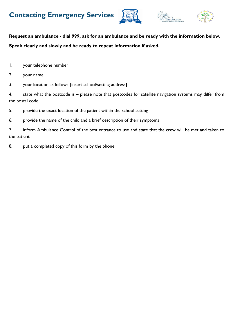





**Request an ambulance - dial 999, ask for an ambulance and be ready with the information below. Speak clearly and slowly and be ready to repeat information if asked.**

- 1. your telephone number
- 2. your name
- 3. your location as follows [insert school/setting address]

4. state what the postcode is – please note that postcodes for satellite navigation systems may differ from the postal code

- 5. provide the exact location of the patient within the school setting
- 6. provide the name of the child and a brief description of their symptoms

7. inform Ambulance Control of the best entrance to use and state that the crew will be met and taken to the patient

8. put a completed copy of this form by the phone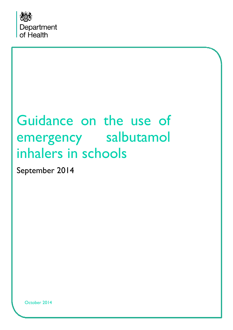

# Guidance on the use of emergency salbutamol inhalers in schools

September 2014

October 2014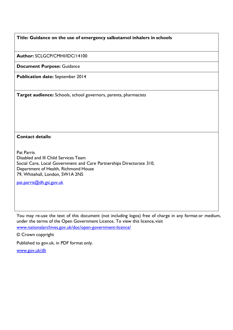#### **Title: Guidance on the use of emergency salbutamol inhalers in schools**

**Author:** SCLGCP/CMHI/IDC/14100

**Document Purpose:** Guidance

**Publication date:** September 2014

**Target audience:** Schools, school governors, parents, pharmacists

#### **Contact details:**

Pat Parris Disabled and Ill Child Services Team Social Care, Local Government and Care Partnerships Directorate 310, Department of Health, Richmond House 79, Whitehall, London, SW1A 2NS

[pat.parris@dh.gsi.gov.uk](mailto:pat.parris@dh.gsi.gov.uk)

You may re-use the text of this document (not including logos) free of charge in any format or medium, under the terms of the Open Government Licence. To view this licence, visit [www.nationalarchives.gov.uk/doc/open-government-licence/](http://www.nationalarchives.gov.uk/doc/open-government-licence/)

© Crown copyright

Published to gov.uk, in PDF format only.

[www.gov.uk/dh](http://www.gov.uk/dh)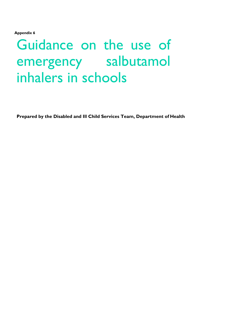**Appendix 6**

# Guidance on the use of emergency salbutamol inhalers in schools

**Prepared by the Disabled and Ill Child Services Team, Department of Health**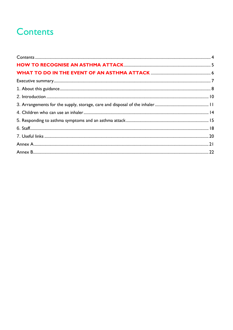# <span id="page-31-0"></span>**Contents**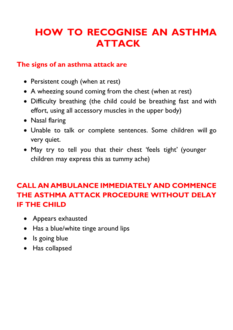# <span id="page-32-0"></span>**HOW TO RECOGNISE AN ASTHMA ATTACK**

### **The signs of an asthma attack are**

- Persistent cough (when at rest)
- A wheezing sound coming from the chest (when at rest)
- Difficulty breathing (the child could be breathing fast and with effort, using all accessory muscles in the upper body)
- Nasal flaring
- Unable to talk or complete sentences. Some children will go very quiet.
- May try to tell you that their chest 'feels tight' (younger children may express this as tummy ache)

### **CALL AN AMBULANCE IMMEDIATELY AND COMMENCE THE ASTHMA ATTACK PROCEDURE WITHOUT DELAY IF THE CHILD**

- Appears exhausted
- Has a blue/white tinge around lips
- Is going blue
- Has collapsed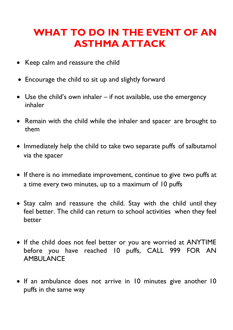# <span id="page-33-0"></span>**WHAT TO DO IN THE EVENT OF AN ASTHMA ATTACK**

- Keep calm and reassure the child
- Encourage the child to sit up and slightly forward
- Use the child's own inhaler if not available, use the emergency inhaler
- Remain with the child while the inhaler and spacer are brought to them
- Immediately help the child to take two separate puffs of salbutamol via the spacer
- If there is no immediate improvement, continue to give two puffs at a time every two minutes, up to a maximum of 10 puffs
- Stay calm and reassure the child. Stay with the child until they feel better. The child can return to school activities when they feel better
- If the child does not feel better or you are worried at ANYTIME before you have reached 10 puffs, CALL 999 FOR AN AMBULANCE
- If an ambulance does not arrive in 10 minutes give another 10 puffs in the same way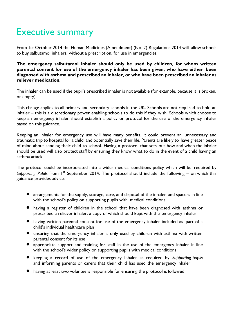## <span id="page-34-0"></span>Executive summary

From 1st October 2014 the Human Medicines (Amendment) (No. 2) Regulations 2014 will allow schools to buy salbutamol inhalers, without a prescription, for use in emergencies.

**The emergency salbutamol inhaler should only be used by children, for whom written parental consent for use of the emergency inhaler has been given, who have either been diagnosed with asthma and prescribed an inhaler, or who have been prescribed an inhaler as reliever medication.**

The inhaler can be used if the pupil's prescribed inhaler is not available (for example, because it is broken, or empty).

This change applies to all primary and secondary schools in the UK. Schools are not required to hold an inhaler – this is a discretionary power enabling schools to do this if they wish. Schools which choose to keep an emergency inhaler should establish a policy or protocol for the use of the emergency inhaler based on this guidance.

Keeping an inhaler for emergency use will have many benefits. It could prevent an unnecessary and traumatic trip to hospital for a child, and potentially save their life. Parents are likely to have greater peace of mind about sending their child to school. Having a protocol that sets out how and when the inhaler should be used will also protect staff by ensuring they know what to do in the event of a child having an asthma attack.

The protocol could be incorporated into a wider medical conditions policy which will be required by Supporting Pupils from 1<sup>st</sup> September 2014. The protocol should include the following – on which this guidance provides advice:

- arrangements for the supply, storage, care, and disposal of the inhaler and spacers in line with the school's policy on supporting pupils with medical conditions
- having a register of children in the school that have been diagnosed with asthma or prescribed a reliever inhaler, a copy of which should kept with the emergency inhaler
- having written parental consent for use of the emergency inhaler included as part of a child's individual healthcare plan
- ensuring that the emergency inhaler is only used by children with asthma with written parental consent for its use
- appropriate support and training for staff in the use of the emergency inhaler in line with the school's wider policy on supporting pupils with medical conditions
- keeping <sup>a</sup> record of use of the emergency inhaler as required by *Supporting pupils* and informing parents or carers that their child has used the emergency inhaler
- having at least two volunteers responsible for ensuring the protocol is followed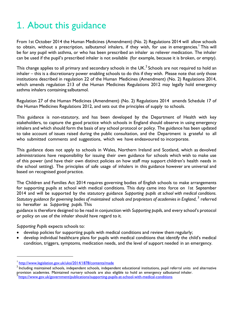# <span id="page-35-0"></span>1. About this guidance

From 1st October 2014 the Human Medicines (Amendment) (No. 2) Regulations 2014 will allow schools to obtain, without a prescription, salbutamol inhalers, if they wish, for use in emergencies.<sup>1</sup> This will be for any pupil with asthma, or who has been prescribed an inhaler as reliever medication. The inhaler can be used if the pupil's prescribed inhaler is not available (for example, because it is broken, or empty).

This change applies to all primary and secondary schools in the UK.<sup>2</sup> Schools are not required to hold an inhaler – this is a discretionary power enabling schools to do this if they wish. Please note that only those institutions described in regulation 22 of the Human Medicines (Amendment) (No. 2) Regulations 2014, which amends regulation 213 of the Human Medicines Regulations 2012 may legally hold emergency asthma inhalers containing salbutamol.

Regulation 27 of the Human Medicines (Amendment) (No. 2) Regulations 2014 amends Schedule 17 of the Human Medicines Regulations 2012, and sets out the principles of supply to schools.

This guidance is non-statutory, and has been developed by the Department of Health with key stakeholders, to capture the good practice which schools in England should observe in using emergency inhalers and which should form the basis of any school protocol or policy. The guidance has been updated to take account of issues raised during the public consultation, and the Department is grateful to all who submitted comments and suggestions, which we have endeavoured to incorporate.

This guidance does not apply to schools in Wales, Northern Ireland and Scotland, which as devolved administrations have responsibility for issuing their own guidance for schools which wish to make use of this power (and have their own distinct policies on how staff may support children's health needs in the school setting). The principles of safe usage of inhalers in this guidance however are universal and based on recognised good practice.

The Children and Families Act 2014 requires governing bodies of English schools to make arrangements for supporting pupils at school with medical conditions. This duty came into force on 1st September 2014 and will be supported by the statutory guidance *Supporting pupils at school with medical conditions.*  Statutory guidance for governing bodies of maintained schools and proprietors of academies in England, <sup>3</sup> referred to hereafter as *Supporting pupils.* This

guidance is therefore designed to be read in conjunction with *Supporting pupils*, and every school's protocol or policy on use of the inhaler should have regard to it*.*

*Supporting Pupils* expects schools to:

- develop policies for supporting pupils with medical conditions and review them regularly;
- develop individual healthcare plans for pupils with medical conditions that identify the child's medical condition, triggers, symptoms, medication needs, and the level of support needed in an emergency.

<sup>&</sup>lt;sup>1</sup><http://www.legislation.gov.uk/uksi/2014/1878/contents/made>

 $2$  Including maintained schools, independent schools, independent educational institutions, pupil referral units and alternative provision academies. Maintained nursery schools are also eligible to hold an emergency salbutamol inhaler.<br><sup>3</sup> https://www.gov.uk/government/publications/supporting publications/with medies/gonditions.

<https://www.gov.uk/government/publications/supporting-pupils-at-school-with-medical-conditions>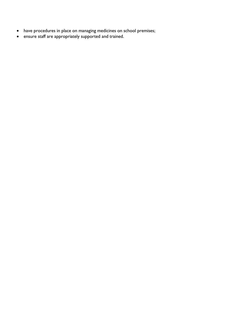- have procedures in place on managing medicines on school premises;
- ensure staff are appropriately supported and trained.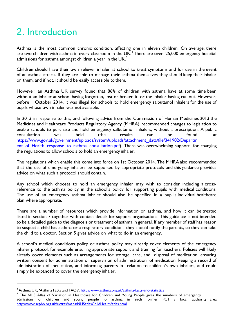# <span id="page-37-0"></span>2. Introduction

Asthma is the most common chronic condition, affecting one in eleven children. On average, there are two children with asthma in every classroom in the UK.<sup>4</sup> There are over 25,000 emergency hospital admissions for asthma amongst children a year in the  $UK<sup>5</sup>$ 

Children should have their own reliever inhaler at school to treat symptoms and for use in the event of an asthma attack. If they are able to manage their asthma themselves they should keep their inhaler on them, and if not, it should be easily accessible to them.

However, an Asthma UK survey found that 86% of children with asthma have at some time been without an inhaler at school having forgotten, lost or broken it, or the inhaler having run out. However, before 1 October 2014, it was illegal for schools to hold emergency salbutamol inhalers for the use of pupils whose own inhaler was not available.

In 2013 in response to this, and following advice from the Commission of Human Medicines 2013 the Medicines and Healthcare Products Regulatory Agency (MHRA) recommended changes to legislation to enable schools to purchase and hold emergency salbutamol inhalers, without a prescription. A public consultation was held (the results can be found at [https://www.gov.uk/government/uploads/system/uploads/attachment\\_data/file/341902/Departm](https://www.gov.uk/government/uploads/system/uploads/attachment_data/file/341902/Department_of_Health_response_to_asthma_consultation.pdf) ent of Health response to asthma consultation.pdf). There was overwhelming support for changing the regulations to allow schools to hold an emergency inhaler.

The regulations which enable this come into force on 1st October 2014. The MHRA also recommended that the use of emergency inhalers be supported by appropriate protocols and this guidance provides advice on what such a protocol should contain.

Any school which chooses to hold an emergency inhaler may wish to consider including a crossreference to the asthma policy in the school's policy for supporting pupils with medical conditions. The use of an emergency asthma inhaler should also be specified in a pupil's individual healthcare plan where appropriate.

There are a number of resources which provide information on asthma, and how it can be treated listed in section 7 together with contact details for support organisations. This guidance is not intended to be a detailed guide to the diagnosis or treatment of asthma in general. If any member of staff has reason to suspect a child has asthma or a respiratory condition, they should notify the parents, so they can take the child to a doctor. Section 5 gives advice on what to do in an emergency.

A school's medical conditions policy or asthma policy may already cover elements of the emergency inhaler protocol, for example ensuring appropriate support and training for teachers. Policies will likely already cover elements such as arrangements for storage, care, and disposal of medication, ensuring written consent for administration or supervision of administration of medication, keeping a record of administration of medication, and informing parents in relation to children's own inhalers, and could simply be expanded to cover the emergency inhaler.

<sup>&</sup>lt;sup>4</sup> Asthma UK, 'Asthma Facts and FAQs', <http://www.asthma.org.uk/asthma-facts-and-statistics>

<sup>&</sup>lt;sup>5</sup> The NHS Atlas of Variation in Healthcare for Children and Young People gives the numbers of emergency admissions of children and young people for asthma in each former PCT / local authority area <http://www.sepho.org.uk/extras/maps/NHSatlasChildHealth/atlas.html>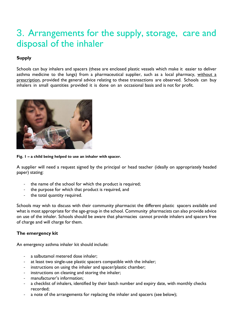# <span id="page-38-0"></span>3. Arrangements for the supply, storage, care and disposal of the inhaler

#### **Supply**

Schools can buy inhalers and spacers (these are enclosed plastic vessels which make it easier to deliver asthma medicine to the lungs) from a pharmaceutical supplier, such as a local pharmacy, without a prescription, provided the general advice relating to these transactions are observed. Schools can buy inhalers in small quantities provided it is done on an occasional basis and is not for profit.



**Fig. 1 – a child being helped to use an inhaler with spacer.**

A supplier will need a request signed by the principal or head teacher (ideally on appropriately headed paper) stating:

- the name of the school for which the product is required;
- the purpose for which that product is required, and
- the total quantity required.

Schools may wish to discuss with their community pharmacist the different plastic spacers available and what is most appropriate for the age-group in the school. Community pharmacists can also provide advice on use of the inhaler. Schools should be aware that pharmacies cannot provide inhalers and spacers free of charge and will charge for them.

#### **The emergency kit**

An emergency asthma inhaler kit should include:

- a salbutamol metered dose inhaler;
- at least two single-use plastic spacers compatible with the inhaler;
- instructions on using the inhaler and spacer/plastic chamber;
- instructions on cleaning and storing the inhaler;
- manufacturer's information;
- a checklist of inhalers, identified by their batch number and expiry date, with monthly checks recorded;
- a note of the arrangements for replacing the inhaler and spacers (see below);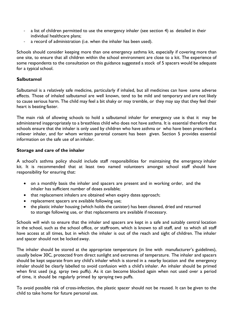- a list of children permitted to use the emergency inhaler (see section 4) as detailed in their individual healthcare plans;
- a record of administration (i.e. when the inhaler has been used).

Schools should consider keeping more than one emergency asthma kit, especially if covering more than one site, to ensure that all children within the school environment are close to a kit. The experience of some respondents to the consultation on this guidance suggested a stock of 5 spacers would be adequate for a typical school.

#### **Salbutamol**

Salbutamol is a relatively safe medicine, particularly if inhaled, but all medicines can have some adverse effects. Those of inhaled salbutamol are well known, tend to be mild and temporary and are not likely to cause serious harm. The child may feel a bit shaky or may tremble, or they may say that they feel their heart is beating faster.

The main risk of allowing schools to hold a salbutamol inhaler for emergency use is that it may be administered inappropriately to a breathless child who does not have asthma. It is essential therefore that schools ensure that the inhaler is only used by children who have asthma or who have been prescribed a reliever inhaler, and for whom written parental consent has been given. Section 5 provides essential information on the safe use of an inhaler.

#### **Storage and care of the inhaler**

A school's asthma policy should include staff responsibilities for maintaining the emergency inhaler kit. It is recommended that at least two named volunteers amongst school staff should have responsibility for ensuring that:

- on a monthly basis the inhaler and spacers are present and in working order, and the inhaler has sufficient number of doses available;
- that replacement inhalers are obtained when expiry dates approach;
- replacement spacers are available following use;
- the plastic inhaler housing (which holds the canister) has been cleaned, dried and returned to storage following use, or that replacements are available if necessary.

Schools will wish to ensure that the inhaler and spacers are kept in a safe and suitably central location in the school, such as the school office, or staffroom, which is known to all staff, and to which all staff have access at all times, but in which the inhaler is out of the reach and sight of children. The inhaler and spacer should not be locked away.

The inhaler should be stored at the appropriate temperature (in line with manufacturer's guidelines), usually below 30C, protected from direct sunlight and extremes of temperature. The inhaler and spacers should be kept separate from any child's inhaler which is stored in a nearby location and the emergency inhaler should be clearly labelled to avoid confusion with a child's inhaler. An inhaler should be primed when first used (e.g. spray two puffs). As it can become blocked again when not used over a period of time, it should be regularly primed by spraying two puffs.

To avoid possible risk of cross-infection, the plastic spacer should not be reused. It can be given to the child to take home for future personal use.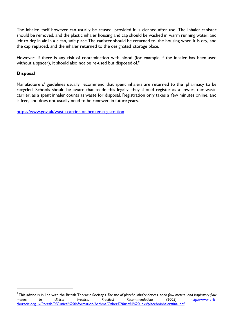The inhaler itself however can usually be reused, provided it is cleaned after use. The inhaler canister should be removed, and the plastic inhaler housing and cap should be washed in warm running water, and left to dry in air in a clean, safe place The canister should be returned to the housing when it is dry, and the cap replaced, and the inhaler returned to the designated storage place.

However, if there is any risk of contamination with blood (for example if the inhaler has been used without a spacer), it should also not be re-used but disposed of.<sup>6</sup>

#### **Disposal**

Manufacturers' guidelines usually recommend that spent inhalers are returned to the pharmacy to be recycled. Schools should be aware that to do this legally, they should register as a lower- tier waste carrier, as a spent inhaler counts as waste for disposal. Registration only takes a few minutes online, and is free, and does not usually need to be renewed in future years.

<https://www.gov.uk/waste-carrier-or-broker-registration>

<sup>6</sup>This advice is in line with the British Thoracic Society's *The use of placebo inhaler devices, peak flow meters and inspiratory flow meters in clinical practice. Practical Recommendations* (2005) [http://www.brit](http://www.brit-thoracic.org.uk/Portals/0/Clinical%20Information/Asthma/Other%20useful%20links/placeboinhalersfinal.pdf)[thoracic.org.uk/Portals/0/Clinical%20Information/Asthma/Other%20useful%20links/placeboinhalersfinal.pdf](http://www.brit-thoracic.org.uk/Portals/0/Clinical%20Information/Asthma/Other%20useful%20links/placeboinhalersfinal.pdf)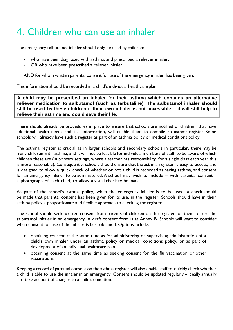# <span id="page-41-0"></span>4. Children who can use an inhaler

The emergency salbutamol inhaler should only be used by children:

- who have been diagnosed with asthma, and prescribed a reliever inhaler;
- OR who have been prescribed a reliever inhaler;

AND for whom written parental consent for use of the emergency inhaler has been given.

This information should be recorded in a child's individual healthcare plan.

**A child may be prescribed an inhaler for their asthma which contains an alternative reliever medication to salbutamol (such as terbutaline). The salbutamol inhaler should**  still be used by these children if their own inhaler is not accessible - it will still help to **relieve their asthma and could save their life.**

There should already be procedures in place to ensure that schools are notified of children that have additional health needs and this information, will enable them to compile an asthma register. Some schools will already have such a register as part of an asthma policy or medical conditions policy.

The asthma register is crucial as in larger schools and secondary schools in particular, there may be many children with asthma, and it will not be feasible for individual members of staff to be aware of which children these are (in primary settings, where a teacher has responsibility for a single class each year this is more reasonable). Consequently, schools should ensure that the asthma register is easy to access, and is designed to allow a quick check of whether or not a child is recorded as having asthma, and consent for an emergency inhaler to be administered. A school may wish to include – with parental consent a photograph of each child, to allow a visual check to be made.

As part of the school's asthma policy, when the emergency inhaler is to be used, a check should be made that parental consent has been given for its use, in the register. Schools should have in their asthma policy a proportionate and flexible approach to checking the register.

The school should seek written consent from parents of children on the register for them to use the salbutamol inhaler in an emergency. A draft consent form is at Annex B. Schools will want to consider when consent for use of the inhaler is best obtained. Options include:

- obtaining consent at the same time as for administering or supervising administration of a child's own inhaler under an asthma policy or medical conditions policy, or as part of development of an individual healthcare plan
- obtaining consent at the same time as seeking consent for the flu vaccination or other vaccinations

Keeping a record of parental consent on the asthma register will also enable staff to quickly check whether a child is able to use the inhaler in an emergency. Consent should be updated regularly – ideally annually - to take account of changes to a child's condition.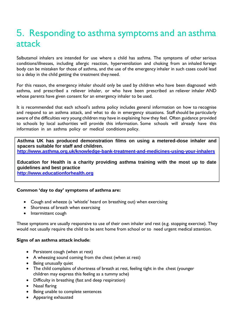# <span id="page-42-0"></span>5. Responding to asthma symptoms and an asthma attack

Salbutamol inhalers are intended for use where a child has asthma. The symptoms of other serious conditions/illnesses, including allergic reaction, hyperventilation and choking from an inhaled foreign body can be mistaken for those of asthma, and the use of the emergency inhaler in such cases could lead to a delay in the child getting the treatment they need.

For this reason, the emergency inhaler should only be used by children who have been diagnosed with asthma, and prescribed a reliever inhaler, or who have been prescribed an reliever inhaler AND whose parents have given consent for an emergency inhaler to be used.

It is recommended that each school's asthma policy includes general information on how to recognise and respond to an asthma attack, and what to do in emergency situations. Staff should be particularly aware of the difficulties very young children may have in explaining how they feel. Often guidance provided to schools by local authorities will provide this information. Some schools will already have this information in an asthma policy or medical conditions policy.

**Asthma UK has produced demonstration films on using a metered-dose inhaler and spacers suitable for staff and children.**

**<http://www.asthma.org.uk/knowledge-bank-treatment-and-medicines-using-your-inhalers>**

**Education for Health is a charity providing asthma training with the most up to date guidelines and best practice**

**http:/[/www.educationforhealth.org](http://www.educationforhealth.org/)**

#### **Common 'day to day' symptoms of asthma are:**

- Cough and wheeze (a 'whistle' heard on breathing out) when exercising
- Shortness of breath when exercising
- Intermittent cough

These symptoms are usually responsive to use of their own inhaler and rest (e.g. stopping exercise). They would not usually require the child to be sent home from school or to need urgent medical attention.

#### **Signs of an asthma attack include**:

- Persistent cough (when at rest)
- A wheezing sound coming from the chest (when at rest)
- Being unusually quiet
- The child complains of shortness of breath at rest, feeling tight in the chest (younger children may express this feeling as a tummy ache)
- Difficulty in breathing (fast and deep respiration)
- Nasal flaring
- Being unable to complete sentences
- Appearing exhausted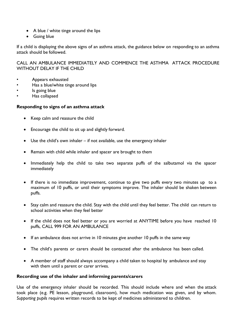- A blue / white tinge around the lips
- Going blue

If a child is displaying the above signs of an asthma attack, the guidance below on responding to an asthma attack should be followed.

CALL AN AMBULANCE IMMEDIATELY AND COMMENCE THE ASTHMA ATTACK PROCEDURE WITHOUT DELAY IF THE CHILD

- Appears exhausted
- Has a blue/white tinge around lips
- Is going blue
- Has collapsed

#### **Responding to signs of an asthma attack**

- Keep calm and reassure the child
- Encourage the child to sit up and slightly forward.
- Use the child's own inhaler if not available, use the emergency inhaler
- Remain with child while inhaler and spacer are brought to them
- Immediately help the child to take two separate puffs of the salbutamol via the spacer immediately
- If there is no immediate improvement, continue to give two puffs every two minutes up to a maximum of 10 puffs, or until their symptoms improve. The inhaler should be shaken between puffs.
- Stay calm and reassure the child. Stay with the child until they feel better. The child can return to school activities when they feel better
- If the child does not feel better or you are worried at ANYTIME before you have reached 10 puffs, CALL 999 FOR AN AMBULANCE
- If an ambulance does not arrive in 10 minutes give another 10 puffs in the same way
- The child's parents or carers should be contacted after the ambulance has been called.
- A member of staff should always accompany a child taken to hospital by ambulance and stay with them until a parent or carer arrives.

#### **Recording use of the inhaler and informing parents/carers**

Use of the emergency inhaler should be recorded. This should include where and when the attack took place (e.g. PE lesson, playground, classroom), how much medication was given, and by whom. *Supporting pupils* requires written records to be kept of medicines administered to children.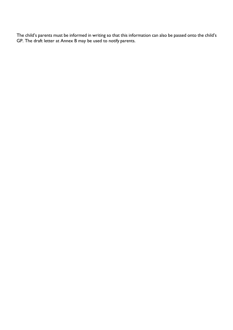The child's parents must be informed in writing so that this information can also be passed onto the child's GP. The draft letter at Annex B may be used to notify parents.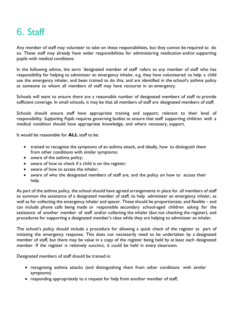# <span id="page-45-0"></span>6. Staff

Any member of staff may volunteer to take on these responsibilities, but they cannot be required to do so. These staff may already have wider responsibilities for administering medication and/or supporting pupils with medical conditions.

In the following advice, the term 'designated member of staff' refers to any member of staff who has responsibility for helping to administer an emergency inhaler, e.g. they have volunteered to help a child use the emergency inhaler, and been trained to do this, and are identified in the school's asthma policy as someone to whom all members of staff may have recourse in an emergency.

Schools will want to ensure there are a reasonable number of designated members of staff to provide sufficient coverage. In small schools, it may be that all members of staff are designated members of staff.

Schools should ensure staff have appropriate training and support, relevant to their level of responsibility*. Supporting Pupils* requires governing bodies to ensure that staff supporting children with a medical condition should have appropriate knowledge, and where necessary, support.

It would be reasonable for **ALL** staff to be:

- trained to recognise the symptoms of an asthma attack, and ideally, how to distinguish them from other conditions with similar symptoms;
- aware of the asthma policy;
- aware of how to check if a child is on the register;
- aware of how to access the inhaler;
- aware of who the designated members of staff are, and the policy on how to access their help.

As part of the asthma policy, the school should have agreed arrangements in place for all members of staff to summon the assistance of a designated member of staff, to help administer an emergency inhaler, as well as for collecting the emergency inhaler and spacer. These should be proportionate, and flexible – and can include phone calls being made or responsible secondary school-aged children asking for the assistance of another member of staff and/or collecting the inhaler (but not checking the register), and procedures for supporting a designated member's class while they are helping to administer an inhaler.

The school's policy should include a procedure for allowing a quick check of the register as part of initiating the emergency response. This does not necessarily need to be undertaken by a designated member of staff, but there may be value in a copy of the register being held by at least each designated member. If the register is relatively succinct, it could be held in every classroom.

Designated members of staff should be trained in:

- recognising asthma attacks (and distinguishing them from other conditions with similar symptoms)
- responding appropriately to a request for help from another member of staff;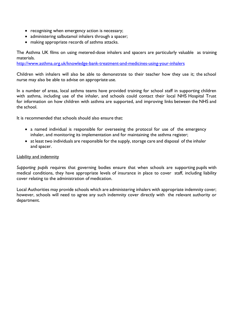- recognising when emergency action is necessary;
- administering salbutamol inhalers through a spacer;
- making appropriate records of asthma attacks.

The Asthma UK films on using metered-dose inhalers and spacers are particularly valuable as training materials.

<http://www.asthma.org.uk/knowledge-bank-treatment-and-medicines-using-your-inhalers>

Children with inhalers will also be able to demonstrate to their teacher how they use it; the school nurse may also be able to advise on appropriate use.

In a number of areas, local asthma teams have provided training for school staff in supporting children with asthma, including use of the inhaler, and schools could contact their local NHS Hospital Trust for information on how children with asthma are supported, and improving links between the NHS and the school.

It is recommended that schools should also ensure that:

- a named individual is responsible for overseeing the protocol for use of the emergency inhaler, and monitoring its implementation and for maintaining the asthma register;
- at least two individuals are responsible for the supply, storage care and disposal of the inhaler and spacer.

#### Liability and indemnity

*Supporting pupils* requires that governing bodies ensure that when schools are supporting pupils with medical conditions, they have appropriate levels of insurance in place to cover staff, including liability cover relating to the administration of medication.

Local Authorities may provide schools which are administering inhalers with appropriate indemnity cover; however, schools will need to agree any such indemnity cover directly with the relevant authority or department.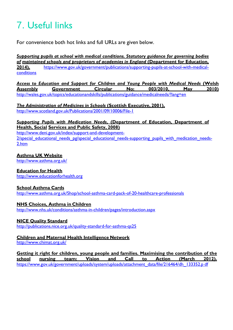# <span id="page-47-0"></span>7. Useful links

For convenience both hot links and full URLs are given below.

*[Supporting pupils at school with medical conditions. Statutory guidance for governing bodies](http://www.education.gov.uk/consultations/index.cfm?action=consultationDetails&consultationId=1947&external=no&menu=1) [of](http://www.education.gov.uk/consultations/index.cfm?action=consultationDetails&consultationId=1947&external=no&menu=1) [maintained schools and proprietors of academies in England](http://www.education.gov.uk/consultations/index.cfm?action=consultationDetails&consultationId=1947&external=no&menu=1)* **(Department for Education, [2014\).](http://www.education.gov.uk/consultations/index.cfm?action=consultationDetails&consultationId=1947&external=no&menu=1)** [https://www.gov.uk/government/publications/supporting-pupils-at-school-with-medical](https://www.gov.uk/government/publications/supporting-pupils-at-school-with-medical-conditions)[conditions](https://www.gov.uk/government/publications/supporting-pupils-at-school-with-medical-conditions)

*[Access to Education and Support for Children and Young People with Medical Needs](http://wales.gov.uk/topics/educationandskills/publications/guidance/medicalneeds/?lang=en) (Welsh Assembly Government Circular No: 003/2010. May 2010)* **[Assembly](http://wales.gov.uk/topics/educationandskills/publications/guidance/medicalneeds/?lang=en) [Government Circular No: 003/2010, May](http://wales.gov.uk/topics/educationandskills/publications/guidance/medicalneeds/?lang=en) 2010)** <http://wales.gov.uk/topics/educationandskills/publications/guidance/medicalneeds/?lang=en>

*[The Administration of Medicines in Schools](http://www.scotland.gov.uk/Publications/2001/09/10006/File-1)* **(Scottish Executive, 2001),** <http://www.scotland.gov.uk/Publications/2001/09/10006/File-1>

#### *Supporting Pupils with Medication Needs***, [\(Department](http://www.deni.gov.uk/index/support-and-development-2/special_educational_needs_pg/special_educational_needs-supporting_pupils_with_medication_needs-2.htm) of Education, Department of [Health,](http://www.deni.gov.uk/index/support-and-development-2/special_educational_needs_pg/special_educational_needs-supporting_pupils_with_medication_needs-2.htm) Social [Services and Public Safety,](http://www.deni.gov.uk/index/support-and-development-2/special_educational_needs_pg/special_educational_needs-supporting_pupils_with_medication_needs-2.htm) 2008)**

[http://www.deni.gov.uk/index/support-and-development-](http://www.deni.gov.uk/index/support-and-development-2/special_educational_needs_pg/special_educational_needs-supporting_pupils_with_medication_needs-2.htm)2/special educational needs pg/special educational needs-supporting pupils with medication needs-[2.htm](http://www.deni.gov.uk/index/support-and-development-2/special_educational_needs_pg/special_educational_needs-supporting_pupils_with_medication_needs-2.htm)

#### **[Asthma UK](http://www.asthma.org.uk/) Website**

<http://www.asthma.org.uk/>

#### **Education for Health**

[http://www.educationforhealth.org](http://www.educationforhealth.org/)

#### **School Asthma Cards**

<http://www.asthma.org.uk/Shop/school-asthma-card-pack-of-20-healthcare-professionals>

#### **[NHS Choices, Asthma in](http://www.nhs.uk/conditions/asthma-in-children/pages/introduction.aspx) Children**

<http://www.nhs.uk/conditions/asthma-in-children/pages/introduction.aspx>

#### **[NICE Quality](http://publications.nice.org.uk/quality-standard-for-asthma-qs25) Standard**

<http://publications.nice.org.uk/quality-standard-for-asthma-qs25>

#### **[Children and Maternal Health Intelligence](http://www.chimat.org.uk/) Network**

<http://www.chimat.org.uk/>

**Getting it right for children, young people and families. Maximising the contribution of the school nursing team: Vision and Call to Action (March 2012).** [https://www.gov.uk/government/uploads/system/uploads/attachment\\_data/file/216464/dh\\_133352.p](https://www.gov.uk/government/uploads/system/uploads/attachment_data/file/216464/dh_133352.pdf) [df](https://www.gov.uk/government/uploads/system/uploads/attachment_data/file/216464/dh_133352.pdf)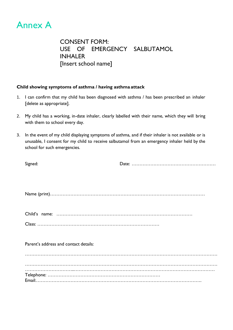<span id="page-48-0"></span>

CONSENT FORM: USE OF EMERGENCY SALBUTAMOL INHALER [Insert school name]

#### **Child showing symptoms of asthma / having asthma attack**

- 1. I can confirm that my child has been diagnosed with asthma / has been prescribed an inhaler [delete as appropriate].
- 2. My child has a working, in-date inhaler, clearly labelled with their name, which they will bring with them to school every day.
- 3. In the event of my child displaying symptoms of asthma, and if their inhaler is not available or is unusable, I consent for my child to receive salbutamol from an emergency inhaler held by the school for such emergencies.

| Signed:                               |  |  |  |  |  |
|---------------------------------------|--|--|--|--|--|
|                                       |  |  |  |  |  |
|                                       |  |  |  |  |  |
|                                       |  |  |  |  |  |
|                                       |  |  |  |  |  |
|                                       |  |  |  |  |  |
|                                       |  |  |  |  |  |
|                                       |  |  |  |  |  |
|                                       |  |  |  |  |  |
|                                       |  |  |  |  |  |
|                                       |  |  |  |  |  |
|                                       |  |  |  |  |  |
|                                       |  |  |  |  |  |
| Parent's address and contact details: |  |  |  |  |  |
|                                       |  |  |  |  |  |
|                                       |  |  |  |  |  |
|                                       |  |  |  |  |  |
|                                       |  |  |  |  |  |
|                                       |  |  |  |  |  |
|                                       |  |  |  |  |  |